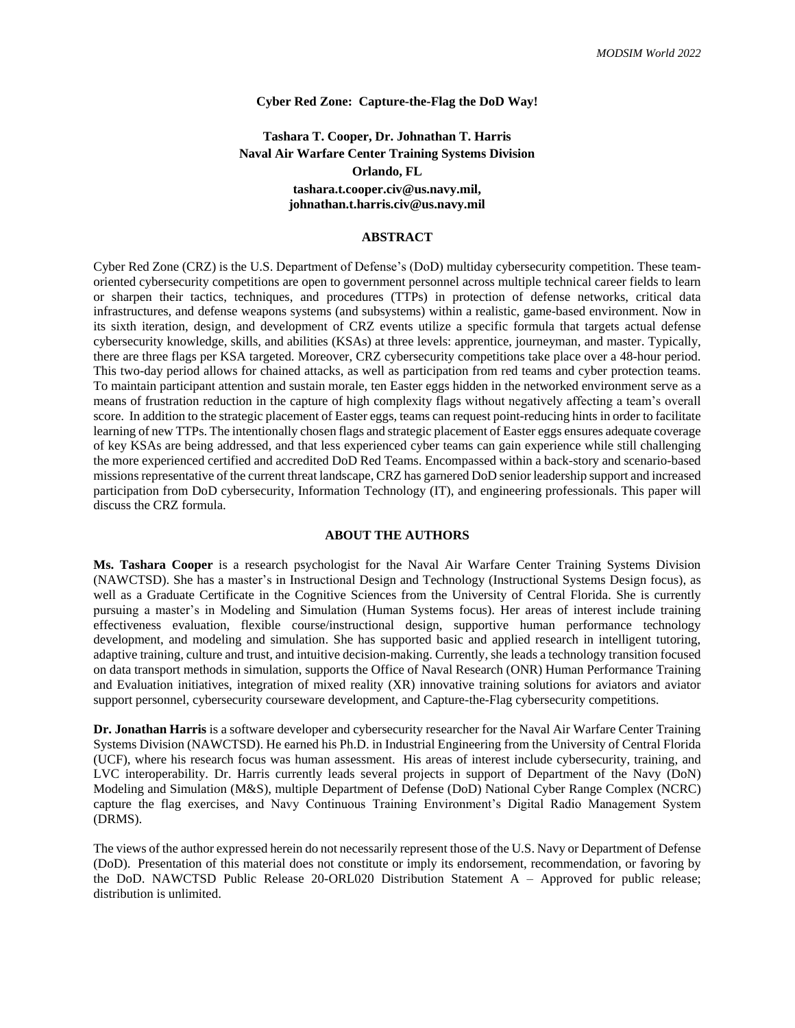# **Cyber Red Zone: Capture-the-Flag the DoD Way!**

**Tashara T. Cooper, Dr. Johnathan T. Harris Naval Air Warfare Center Training Systems Division Orlando, FL tashara.t.cooper.civ@us.navy.mil, johnathan.t.harris.civ@us.navy.mil**

### **ABSTRACT**

Cyber Red Zone (CRZ) is the U.S. Department of Defense's (DoD) multiday cybersecurity competition. These teamoriented cybersecurity competitions are open to government personnel across multiple technical career fields to learn or sharpen their tactics, techniques, and procedures (TTPs) in protection of defense networks, critical data infrastructures, and defense weapons systems (and subsystems) within a realistic, game-based environment. Now in its sixth iteration, design, and development of CRZ events utilize a specific formula that targets actual defense cybersecurity knowledge, skills, and abilities (KSAs) at three levels: apprentice, journeyman, and master. Typically, there are three flags per KSA targeted. Moreover, CRZ cybersecurity competitions take place over a 48-hour period. This two-day period allows for chained attacks, as well as participation from red teams and cyber protection teams. To maintain participant attention and sustain morale, ten Easter eggs hidden in the networked environment serve as a means of frustration reduction in the capture of high complexity flags without negatively affecting a team's overall score. In addition to the strategic placement of Easter eggs, teams can request point-reducing hints in order to facilitate learning of new TTPs. The intentionally chosen flags and strategic placement of Easter eggs ensures adequate coverage of key KSAs are being addressed, and that less experienced cyber teams can gain experience while still challenging the more experienced certified and accredited DoD Red Teams. Encompassed within a back-story and scenario-based missions representative of the current threat landscape, CRZ has garnered DoD senior leadership support and increased participation from DoD cybersecurity, Information Technology (IT), and engineering professionals. This paper will discuss the CRZ formula.

## **ABOUT THE AUTHORS**

**Ms. Tashara Cooper** is a research psychologist for the Naval Air Warfare Center Training Systems Division (NAWCTSD). She has a master's in Instructional Design and Technology (Instructional Systems Design focus), as well as a Graduate Certificate in the Cognitive Sciences from the University of Central Florida. She is currently pursuing a master's in Modeling and Simulation (Human Systems focus). Her areas of interest include training effectiveness evaluation, flexible course/instructional design, supportive human performance technology development, and modeling and simulation. She has supported basic and applied research in intelligent tutoring, adaptive training, culture and trust, and intuitive decision-making. Currently, she leads a technology transition focused on data transport methods in simulation, supports the Office of Naval Research (ONR) Human Performance Training and Evaluation initiatives, integration of mixed reality (XR) innovative training solutions for aviators and aviator support personnel, cybersecurity courseware development, and Capture-the-Flag cybersecurity competitions.

**Dr. Jonathan Harris** is a software developer and cybersecurity researcher for the Naval Air Warfare Center Training Systems Division (NAWCTSD). He earned his Ph.D. in Industrial Engineering from the University of Central Florida (UCF), where his research focus was human assessment. His areas of interest include cybersecurity, training, and LVC interoperability. Dr. Harris currently leads several projects in support of Department of the Navy (DoN) Modeling and Simulation (M&S), multiple Department of Defense (DoD) National Cyber Range Complex (NCRC) capture the flag exercises, and Navy Continuous Training Environment's Digital Radio Management System (DRMS).

The views of the author expressed herein do not necessarily represent those of the U.S. Navy or Department of Defense (DoD). Presentation of this material does not constitute or imply its endorsement, recommendation, or favoring by the DoD. NAWCTSD Public Release 20-ORL020 Distribution Statement A – Approved for public release; distribution is unlimited.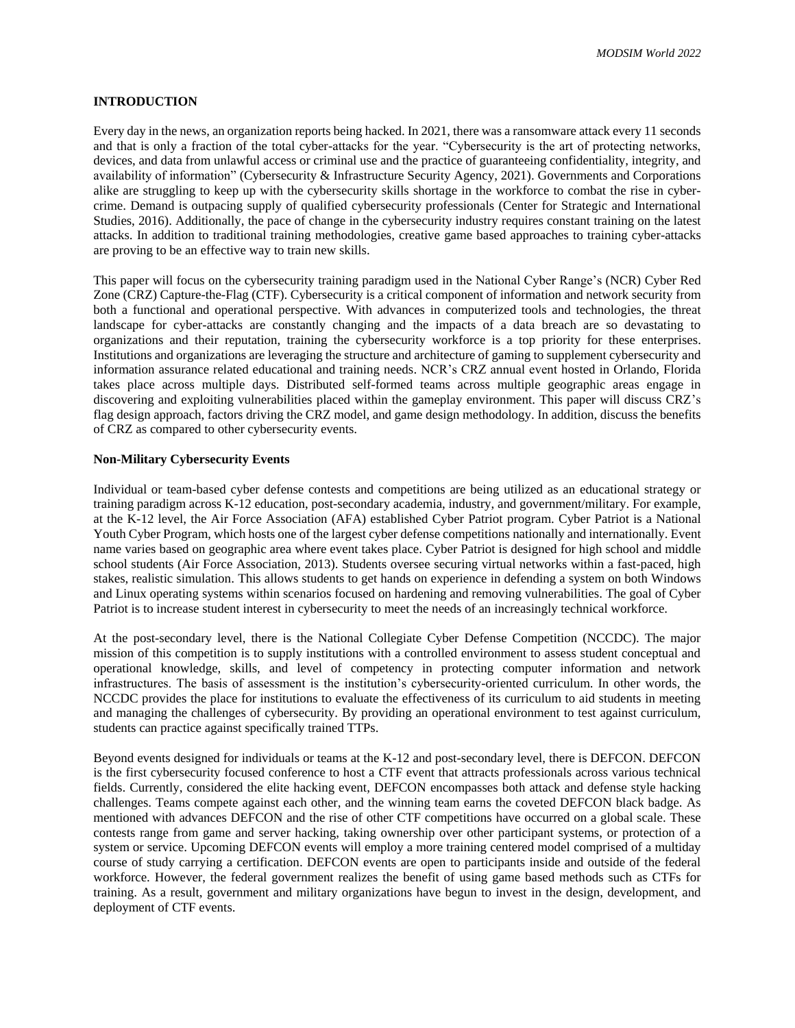# **INTRODUCTION**

Every day in the news, an organization reports being hacked. In 2021, there was a ransomware attack every 11 seconds and that is only a fraction of the total cyber-attacks for the year. "Cybersecurity is the art of protecting networks, devices, and data from unlawful access or criminal use and the practice of guaranteeing confidentiality, integrity, and availability of information" (Cybersecurity & Infrastructure Security Agency, 2021). Governments and Corporations alike are struggling to keep up with the cybersecurity skills shortage in the workforce to combat the rise in cybercrime. Demand is outpacing supply of qualified cybersecurity professionals (Center for Strategic and International Studies, 2016). Additionally, the pace of change in the cybersecurity industry requires constant training on the latest attacks. In addition to traditional training methodologies, creative game based approaches to training cyber-attacks are proving to be an effective way to train new skills.

This paper will focus on the cybersecurity training paradigm used in the National Cyber Range's (NCR) Cyber Red Zone (CRZ) Capture-the-Flag (CTF). Cybersecurity is a critical component of information and network security from both a functional and operational perspective. With advances in computerized tools and technologies, the threat landscape for cyber-attacks are constantly changing and the impacts of a data breach are so devastating to organizations and their reputation, training the cybersecurity workforce is a top priority for these enterprises. Institutions and organizations are leveraging the structure and architecture of gaming to supplement cybersecurity and information assurance related educational and training needs. NCR's CRZ annual event hosted in Orlando, Florida takes place across multiple days. Distributed self-formed teams across multiple geographic areas engage in discovering and exploiting vulnerabilities placed within the gameplay environment. This paper will discuss CRZ's flag design approach, factors driving the CRZ model, and game design methodology. In addition, discuss the benefits of CRZ as compared to other cybersecurity events.

## **Non-Military Cybersecurity Events**

Individual or team-based cyber defense contests and competitions are being utilized as an educational strategy or training paradigm across K-12 education, post-secondary academia, industry, and government/military. For example, at the K-12 level, the Air Force Association (AFA) established Cyber Patriot program. Cyber Patriot is a National Youth Cyber Program, which hosts one of the largest cyber defense competitions nationally and internationally. Event name varies based on geographic area where event takes place. Cyber Patriot is designed for high school and middle school students (Air Force Association, 2013). Students oversee securing virtual networks within a fast-paced, high stakes, realistic simulation. This allows students to get hands on experience in defending a system on both Windows and Linux operating systems within scenarios focused on hardening and removing vulnerabilities. The goal of Cyber Patriot is to increase student interest in cybersecurity to meet the needs of an increasingly technical workforce.

At the post-secondary level, there is the National Collegiate Cyber Defense Competition (NCCDC). The major mission of this competition is to supply institutions with a controlled environment to assess student conceptual and operational knowledge, skills, and level of competency in protecting computer information and network infrastructures. The basis of assessment is the institution's cybersecurity-oriented curriculum. In other words, the NCCDC provides the place for institutions to evaluate the effectiveness of its curriculum to aid students in meeting and managing the challenges of cybersecurity. By providing an operational environment to test against curriculum, students can practice against specifically trained TTPs.

Beyond events designed for individuals or teams at the K-12 and post-secondary level, there is DEFCON. DEFCON is the first cybersecurity focused conference to host a CTF event that attracts professionals across various technical fields. Currently, considered the elite hacking event, DEFCON encompasses both attack and defense style hacking challenges. Teams compete against each other, and the winning team earns the coveted DEFCON black badge. As mentioned with advances DEFCON and the rise of other CTF competitions have occurred on a global scale. These contests range from game and server hacking, taking ownership over other participant systems, or protection of a system or service. Upcoming DEFCON events will employ a more training centered model comprised of a multiday course of study carrying a certification. DEFCON events are open to participants inside and outside of the federal workforce. However, the federal government realizes the benefit of using game based methods such as CTFs for training. As a result, government and military organizations have begun to invest in the design, development, and deployment of CTF events.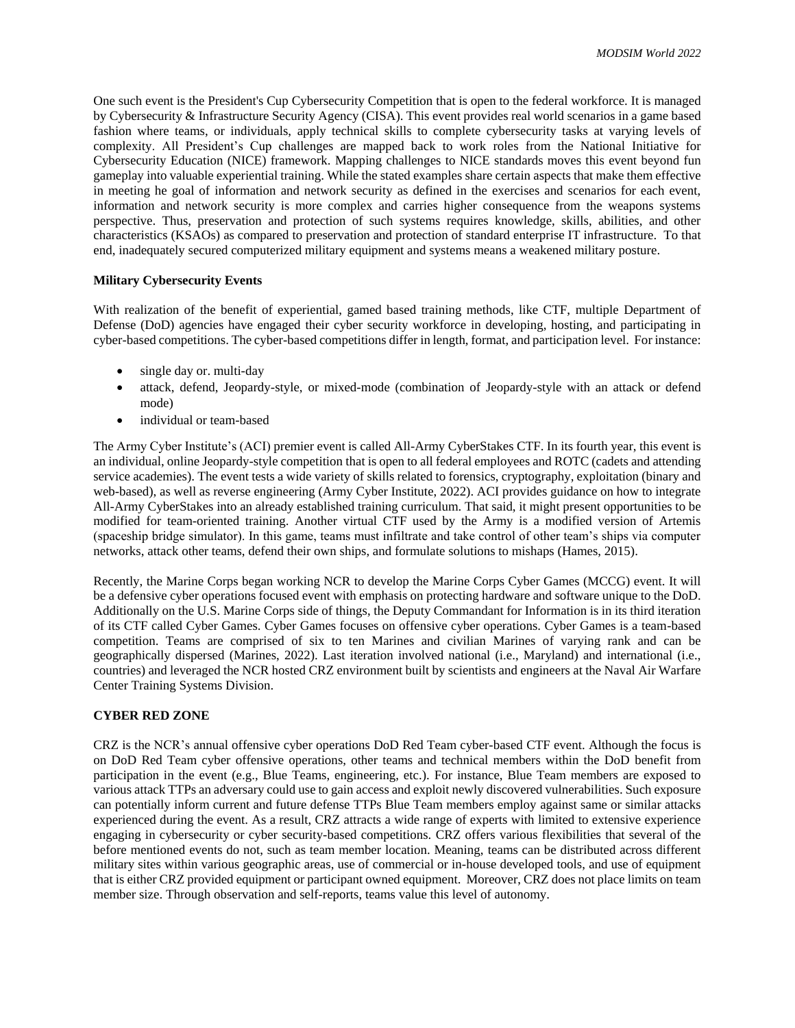One such event is the President's Cup Cybersecurity Competition that is open to the federal workforce. It is managed by Cybersecurity & Infrastructure Security Agency (CISA). This event provides real world scenarios in a game based fashion where teams, or individuals, apply technical skills to complete cybersecurity tasks at varying levels of complexity. All President's Cup challenges are mapped back to work roles from the National Initiative for Cybersecurity Education (NICE) framework. Mapping challenges to NICE standards moves this event beyond fun gameplay into valuable experiential training. While the stated examples share certain aspects that make them effective in meeting he goal of information and network security as defined in the exercises and scenarios for each event, information and network security is more complex and carries higher consequence from the weapons systems perspective. Thus, preservation and protection of such systems requires knowledge, skills, abilities, and other characteristics (KSAOs) as compared to preservation and protection of standard enterprise IT infrastructure. To that end, inadequately secured computerized military equipment and systems means a weakened military posture.

### **Military Cybersecurity Events**

With realization of the benefit of experiential, gamed based training methods, like CTF, multiple Department of Defense (DoD) agencies have engaged their cyber security workforce in developing, hosting, and participating in cyber-based competitions. The cyber-based competitions differ in length, format, and participation level. For instance:

- single day or. multi-day
- attack, defend, Jeopardy-style, or mixed-mode (combination of Jeopardy-style with an attack or defend mode)
- individual or team-based

The Army Cyber Institute's (ACI) premier event is called All-Army CyberStakes CTF. In its fourth year, this event is an individual, online Jeopardy-style competition that is open to all federal employees and ROTC (cadets and attending service academies). The event tests a wide variety of skills related to forensics, cryptography, exploitation (binary and web-based), as well as reverse engineering (Army Cyber Institute, 2022). ACI provides guidance on how to integrate All-Army CyberStakes into an already established training curriculum. That said, it might present opportunities to be modified for team-oriented training. Another virtual CTF used by the Army is a modified version of Artemis (spaceship bridge simulator). In this game, teams must infiltrate and take control of other team's ships via computer networks, attack other teams, defend their own ships, and formulate solutions to mishaps (Hames, 2015).

Recently, the Marine Corps began working NCR to develop the Marine Corps Cyber Games (MCCG) event. It will be a defensive cyber operations focused event with emphasis on protecting hardware and software unique to the DoD. Additionally on the U.S. Marine Corps side of things, the Deputy Commandant for Information is in its third iteration of its CTF called Cyber Games. Cyber Games focuses on offensive cyber operations. Cyber Games is a team-based competition. Teams are comprised of six to ten Marines and civilian Marines of varying rank and can be geographically dispersed (Marines, 2022). Last iteration involved national (i.e., Maryland) and international (i.e., countries) and leveraged the NCR hosted CRZ environment built by scientists and engineers at the Naval Air Warfare Center Training Systems Division.

#### **CYBER RED ZONE**

CRZ is the NCR's annual offensive cyber operations DoD Red Team cyber-based CTF event. Although the focus is on DoD Red Team cyber offensive operations, other teams and technical members within the DoD benefit from participation in the event (e.g., Blue Teams, engineering, etc.). For instance, Blue Team members are exposed to various attack TTPs an adversary could use to gain access and exploit newly discovered vulnerabilities. Such exposure can potentially inform current and future defense TTPs Blue Team members employ against same or similar attacks experienced during the event. As a result, CRZ attracts a wide range of experts with limited to extensive experience engaging in cybersecurity or cyber security-based competitions. CRZ offers various flexibilities that several of the before mentioned events do not, such as team member location. Meaning, teams can be distributed across different military sites within various geographic areas, use of commercial or in-house developed tools, and use of equipment that is either CRZ provided equipment or participant owned equipment. Moreover, CRZ does not place limits on team member size. Through observation and self-reports, teams value this level of autonomy.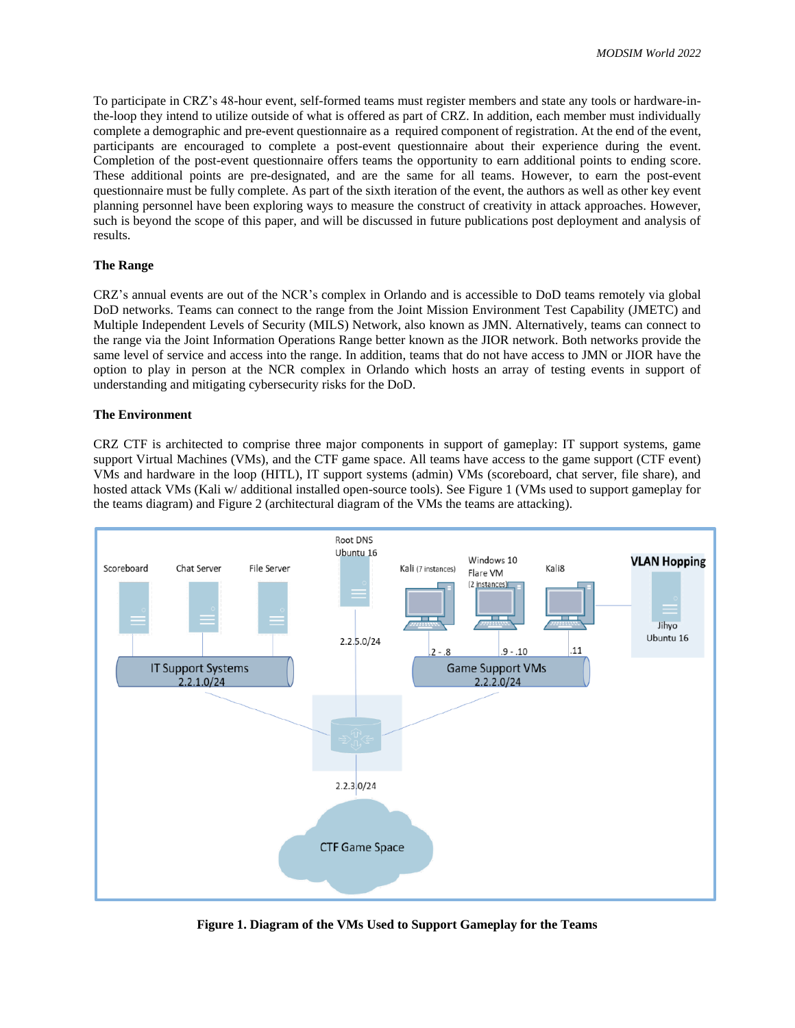To participate in CRZ's 48-hour event, self-formed teams must register members and state any tools or hardware-inthe-loop they intend to utilize outside of what is offered as part of CRZ. In addition, each member must individually complete a demographic and pre-event questionnaire as a required component of registration. At the end of the event, participants are encouraged to complete a post-event questionnaire about their experience during the event. Completion of the post-event questionnaire offers teams the opportunity to earn additional points to ending score. These additional points are pre-designated, and are the same for all teams. However, to earn the post-event questionnaire must be fully complete. As part of the sixth iteration of the event, the authors as well as other key event planning personnel have been exploring ways to measure the construct of creativity in attack approaches. However, such is beyond the scope of this paper, and will be discussed in future publications post deployment and analysis of results.

### **The Range**

CRZ's annual events are out of the NCR's complex in Orlando and is accessible to DoD teams remotely via global DoD networks. Teams can connect to the range from the Joint Mission Environment Test Capability (JMETC) and Multiple Independent Levels of Security (MILS) Network, also known as JMN. Alternatively, teams can connect to the range via the Joint Information Operations Range better known as the JIOR network. Both networks provide the same level of service and access into the range. In addition, teams that do not have access to JMN or JIOR have the option to play in person at the NCR complex in Orlando which hosts an array of testing events in support of understanding and mitigating cybersecurity risks for the DoD.

### **The Environment**

CRZ CTF is architected to comprise three major components in support of gameplay: IT support systems, game support Virtual Machines (VMs), and the CTF game space. All teams have access to the game support (CTF event) VMs and hardware in the loop (HITL), IT support systems (admin) VMs (scoreboard, chat server, file share), and hosted attack VMs (Kali w/ additional installed open-source tools). See Figure 1 (VMs used to support gameplay for the teams diagram) and Figure 2 (architectural diagram of the VMs the teams are attacking).



**Figure 1. Diagram of the VMs Used to Support Gameplay for the Teams**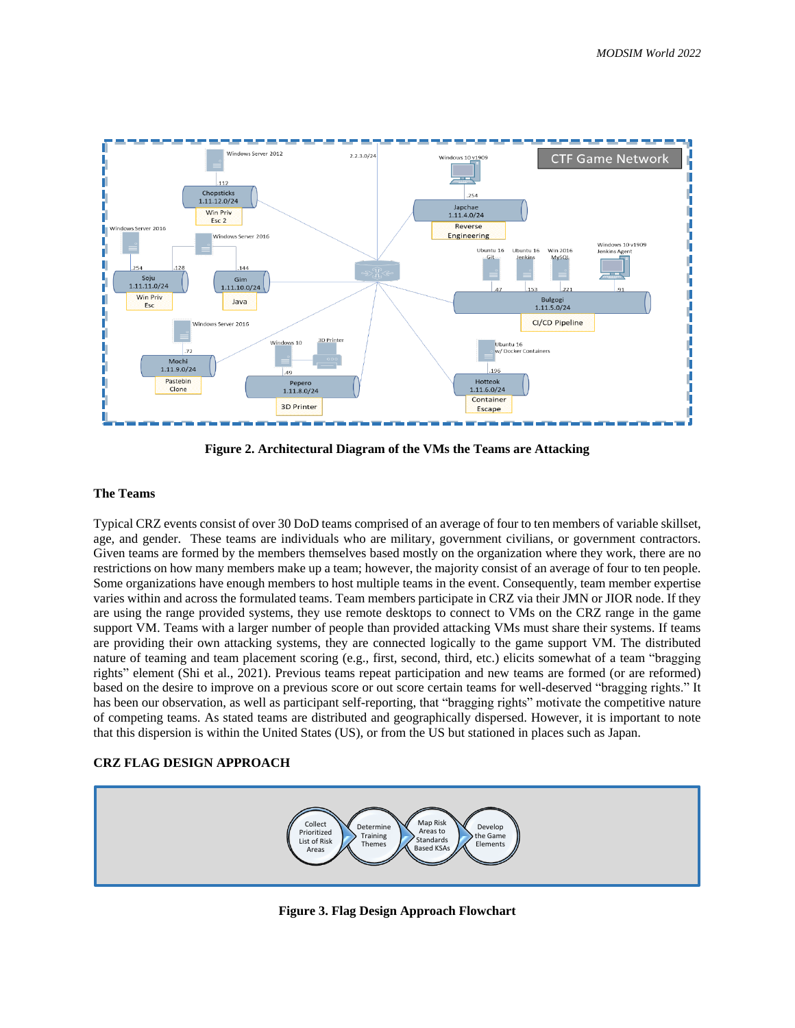

**Figure 2. Architectural Diagram of the VMs the Teams are Attacking**

## **The Teams**

Typical CRZ events consist of over 30 DoD teams comprised of an average of four to ten members of variable skillset, age, and gender. These teams are individuals who are military, government civilians, or government contractors. Given teams are formed by the members themselves based mostly on the organization where they work, there are no restrictions on how many members make up a team; however, the majority consist of an average of four to ten people. Some organizations have enough members to host multiple teams in the event. Consequently, team member expertise varies within and across the formulated teams. Team members participate in CRZ via their JMN or JIOR node. If they are using the range provided systems, they use remote desktops to connect to VMs on the CRZ range in the game support VM. Teams with a larger number of people than provided attacking VMs must share their systems. If teams are providing their own attacking systems, they are connected logically to the game support VM. The distributed nature of teaming and team placement scoring (e.g., first, second, third, etc.) elicits somewhat of a team "bragging rights" element (Shi et al., 2021). Previous teams repeat participation and new teams are formed (or are reformed) based on the desire to improve on a previous score or out score certain teams for well-deserved "bragging rights." It has been our observation, as well as participant self-reporting, that "bragging rights" motivate the competitive nature of competing teams. As stated teams are distributed and geographically dispersed. However, it is important to note that this dispersion is within the United States (US), or from the US but stationed in places such as Japan.

## **CRZ FLAG DESIGN APPROACH**



**Figure 3. Flag Design Approach Flowchart**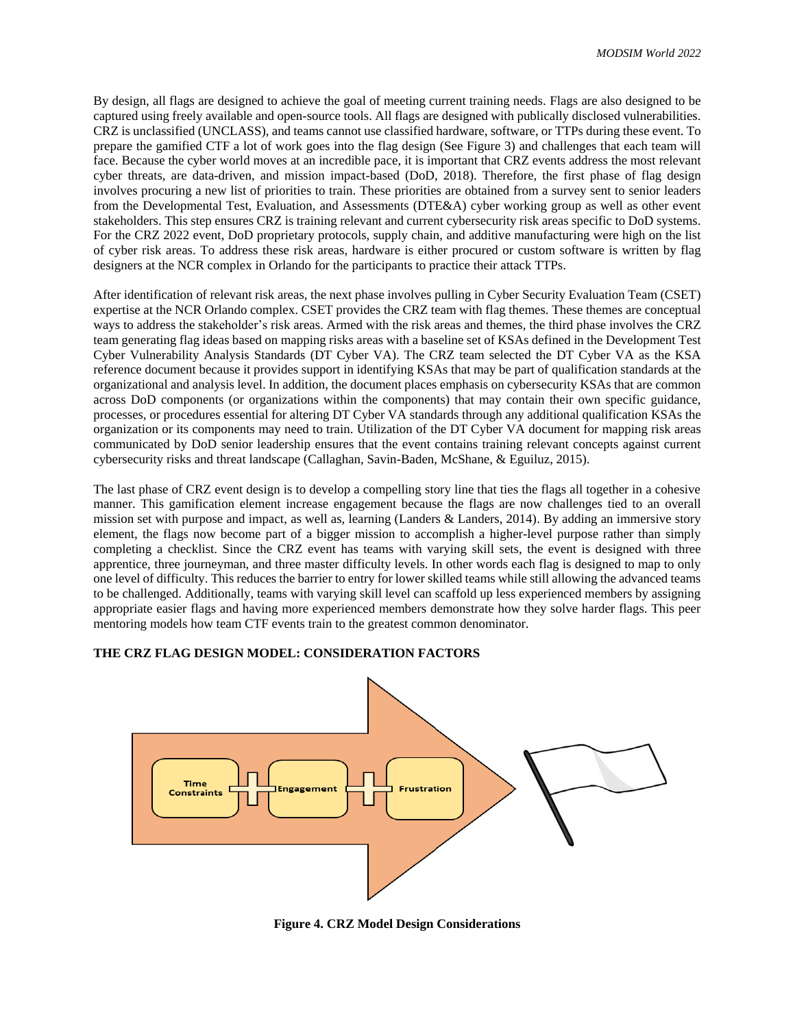By design, all flags are designed to achieve the goal of meeting current training needs. Flags are also designed to be captured using freely available and open-source tools. All flags are designed with publically disclosed vulnerabilities. CRZ is unclassified (UNCLASS), and teams cannot use classified hardware, software, or TTPs during these event. To prepare the gamified CTF a lot of work goes into the flag design (See Figure 3) and challenges that each team will face. Because the cyber world moves at an incredible pace, it is important that CRZ events address the most relevant cyber threats, are data-driven, and mission impact-based (DoD, 2018). Therefore, the first phase of flag design involves procuring a new list of priorities to train. These priorities are obtained from a survey sent to senior leaders from the Developmental Test, Evaluation, and Assessments (DTE&A) cyber working group as well as other event stakeholders. This step ensures CRZ is training relevant and current cybersecurity risk areas specific to DoD systems. For the CRZ 2022 event, DoD proprietary protocols, supply chain, and additive manufacturing were high on the list of cyber risk areas. To address these risk areas, hardware is either procured or custom software is written by flag designers at the NCR complex in Orlando for the participants to practice their attack TTPs.

After identification of relevant risk areas, the next phase involves pulling in Cyber Security Evaluation Team (CSET) expertise at the NCR Orlando complex. CSET provides the CRZ team with flag themes. These themes are conceptual ways to address the stakeholder's risk areas. Armed with the risk areas and themes, the third phase involves the CRZ team generating flag ideas based on mapping risks areas with a baseline set of KSAs defined in the Development Test Cyber Vulnerability Analysis Standards (DT Cyber VA). The CRZ team selected the DT Cyber VA as the KSA reference document because it provides support in identifying KSAs that may be part of qualification standards at the organizational and analysis level. In addition, the document places emphasis on cybersecurity KSAs that are common across DoD components (or organizations within the components) that may contain their own specific guidance, processes, or procedures essential for altering DT Cyber VA standards through any additional qualification KSAs the organization or its components may need to train. Utilization of the DT Cyber VA document for mapping risk areas communicated by DoD senior leadership ensures that the event contains training relevant concepts against current cybersecurity risks and threat landscape (Callaghan, Savin-Baden, McShane, & Eguiluz, 2015).

The last phase of CRZ event design is to develop a compelling story line that ties the flags all together in a cohesive manner. This gamification element increase engagement because the flags are now challenges tied to an overall mission set with purpose and impact, as well as, learning (Landers & Landers, 2014). By adding an immersive story element, the flags now become part of a bigger mission to accomplish a higher-level purpose rather than simply completing a checklist. Since the CRZ event has teams with varying skill sets, the event is designed with three apprentice, three journeyman, and three master difficulty levels. In other words each flag is designed to map to only one level of difficulty. This reduces the barrier to entry for lower skilled teams while still allowing the advanced teams to be challenged. Additionally, teams with varying skill level can scaffold up less experienced members by assigning appropriate easier flags and having more experienced members demonstrate how they solve harder flags. This peer mentoring models how team CTF events train to the greatest common denominator.

## **THE CRZ FLAG DESIGN MODEL: CONSIDERATION FACTORS**



**Figure 4. CRZ Model Design Considerations**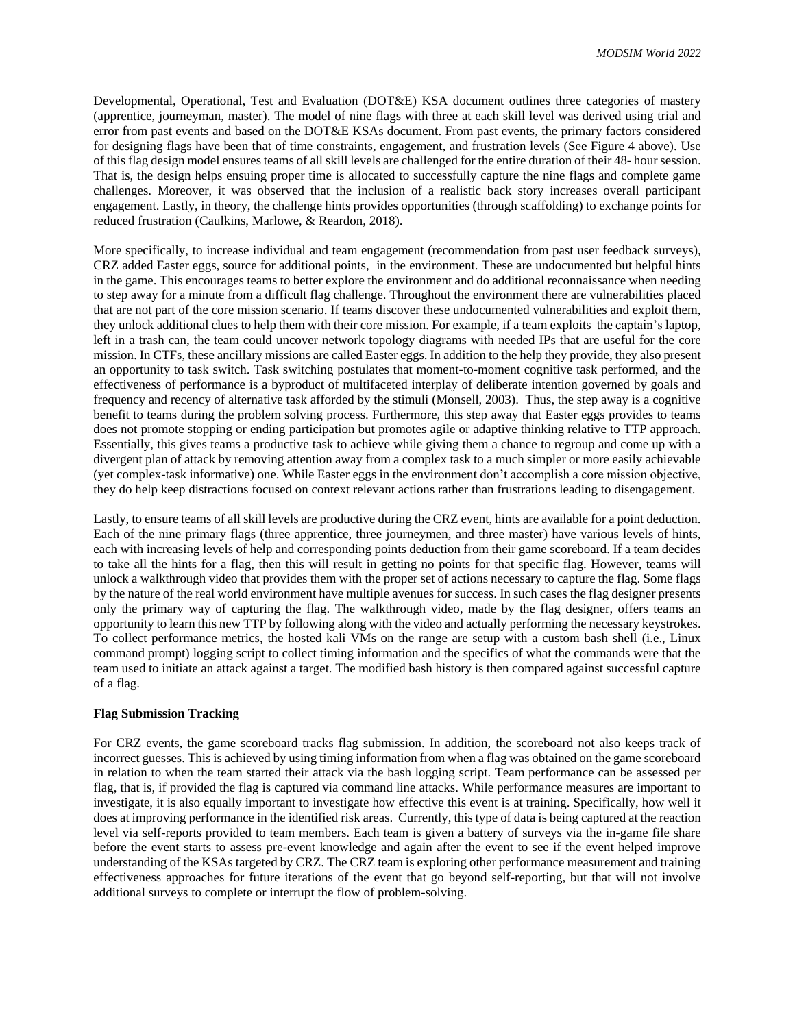Developmental, Operational, Test and Evaluation (DOT&E) KSA document outlines three categories of mastery (apprentice, journeyman, master). The model of nine flags with three at each skill level was derived using trial and error from past events and based on the DOT&E KSAs document. From past events, the primary factors considered for designing flags have been that of time constraints, engagement, and frustration levels (See Figure 4 above). Use of this flag design model ensures teams of all skill levels are challenged for the entire duration of their 48- hour session. That is, the design helps ensuing proper time is allocated to successfully capture the nine flags and complete game challenges. Moreover, it was observed that the inclusion of a realistic back story increases overall participant engagement. Lastly, in theory, the challenge hints provides opportunities (through scaffolding) to exchange points for reduced frustration (Caulkins, Marlowe, & Reardon, 2018).

More specifically, to increase individual and team engagement (recommendation from past user feedback surveys), CRZ added Easter eggs, source for additional points, in the environment. These are undocumented but helpful hints in the game. This encourages teams to better explore the environment and do additional reconnaissance when needing to step away for a minute from a difficult flag challenge. Throughout the environment there are vulnerabilities placed that are not part of the core mission scenario. If teams discover these undocumented vulnerabilities and exploit them, they unlock additional clues to help them with their core mission. For example, if a team exploits the captain's laptop, left in a trash can, the team could uncover network topology diagrams with needed IPs that are useful for the core mission. In CTFs, these ancillary missions are called Easter eggs. In addition to the help they provide, they also present an opportunity to task switch. Task switching postulates that moment-to-moment cognitive task performed, and the effectiveness of performance is a byproduct of multifaceted interplay of deliberate intention governed by goals and frequency and recency of alternative task afforded by the stimuli (Monsell, 2003). Thus, the step away is a cognitive benefit to teams during the problem solving process. Furthermore, this step away that Easter eggs provides to teams does not promote stopping or ending participation but promotes agile or adaptive thinking relative to TTP approach. Essentially, this gives teams a productive task to achieve while giving them a chance to regroup and come up with a divergent plan of attack by removing attention away from a complex task to a much simpler or more easily achievable (yet complex-task informative) one. While Easter eggs in the environment don't accomplish a core mission objective, they do help keep distractions focused on context relevant actions rather than frustrations leading to disengagement.

Lastly, to ensure teams of all skill levels are productive during the CRZ event, hints are available for a point deduction. Each of the nine primary flags (three apprentice, three journeymen, and three master) have various levels of hints, each with increasing levels of help and corresponding points deduction from their game scoreboard. If a team decides to take all the hints for a flag, then this will result in getting no points for that specific flag. However, teams will unlock a walkthrough video that provides them with the proper set of actions necessary to capture the flag. Some flags by the nature of the real world environment have multiple avenues for success. In such cases the flag designer presents only the primary way of capturing the flag. The walkthrough video, made by the flag designer, offers teams an opportunity to learn this new TTP by following along with the video and actually performing the necessary keystrokes. To collect performance metrics, the hosted kali VMs on the range are setup with a custom bash shell (i.e., Linux command prompt) logging script to collect timing information and the specifics of what the commands were that the team used to initiate an attack against a target. The modified bash history is then compared against successful capture of a flag.

## **Flag Submission Tracking**

For CRZ events, the game scoreboard tracks flag submission. In addition, the scoreboard not also keeps track of incorrect guesses. This is achieved by using timing information from when a flag was obtained on the game scoreboard in relation to when the team started their attack via the bash logging script. Team performance can be assessed per flag, that is, if provided the flag is captured via command line attacks. While performance measures are important to investigate, it is also equally important to investigate how effective this event is at training. Specifically, how well it does at improving performance in the identified risk areas. Currently, this type of data is being captured at the reaction level via self-reports provided to team members. Each team is given a battery of surveys via the in-game file share before the event starts to assess pre-event knowledge and again after the event to see if the event helped improve understanding of the KSAs targeted by CRZ. The CRZ team is exploring other performance measurement and training effectiveness approaches for future iterations of the event that go beyond self-reporting, but that will not involve additional surveys to complete or interrupt the flow of problem-solving.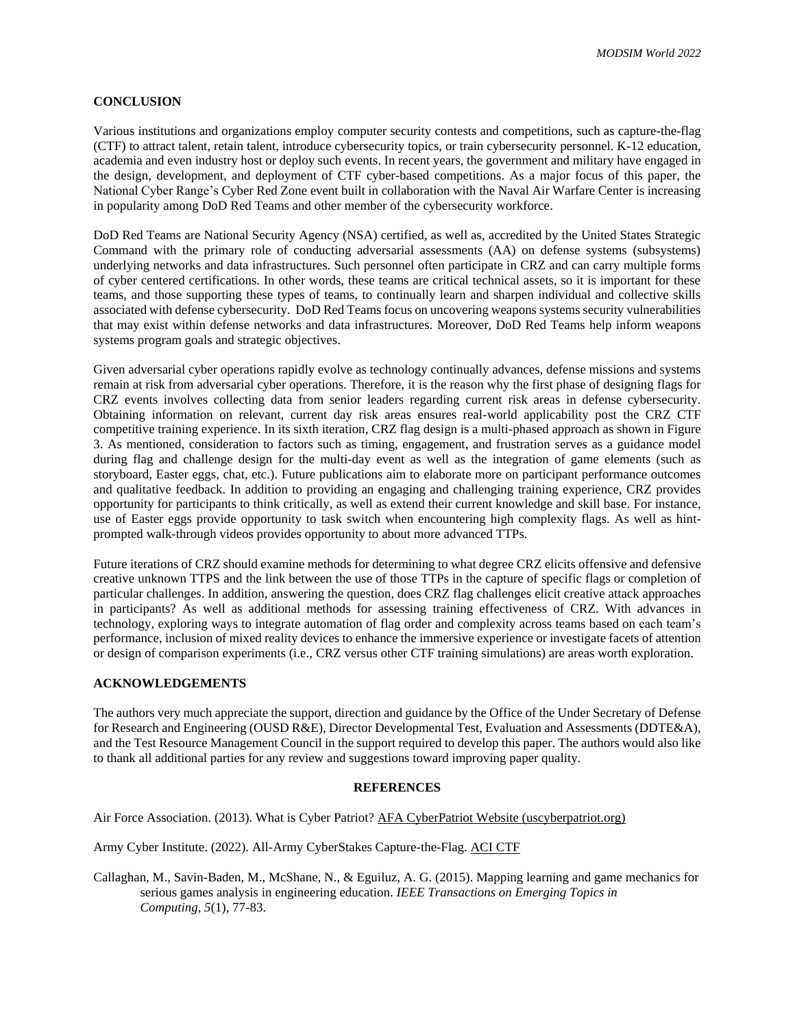## **CONCLUSION**

Various institutions and organizations employ computer security contests and competitions, such as capture-the-flag (CTF) to attract talent, retain talent, introduce cybersecurity topics, or train cybersecurity personnel. K-12 education, academia and even industry host or deploy such events. In recent years, the government and military have engaged in the design, development, and deployment of CTF cyber-based competitions. As a major focus of this paper, the National Cyber Range's Cyber Red Zone event built in collaboration with the Naval Air Warfare Center is increasing in popularity among DoD Red Teams and other member of the cybersecurity workforce.

DoD Red Teams are National Security Agency (NSA) certified, as well as, accredited by the United States Strategic Command with the primary role of conducting adversarial assessments (AA) on defense systems (subsystems) underlying networks and data infrastructures. Such personnel often participate in CRZ and can carry multiple forms of cyber centered certifications. In other words, these teams are critical technical assets, so it is important for these teams, and those supporting these types of teams, to continually learn and sharpen individual and collective skills associated with defense cybersecurity. DoD Red Teams focus on uncovering weapons systems security vulnerabilities that may exist within defense networks and data infrastructures. Moreover, DoD Red Teams help inform weapons systems program goals and strategic objectives.

Given adversarial cyber operations rapidly evolve as technology continually advances, defense missions and systems remain at risk from adversarial cyber operations. Therefore, it is the reason why the first phase of designing flags for CRZ events involves collecting data from senior leaders regarding current risk areas in defense cybersecurity. Obtaining information on relevant, current day risk areas ensures real-world applicability post the CRZ CTF competitive training experience. In its sixth iteration, CRZ flag design is a multi-phased approach as shown in Figure 3. As mentioned, consideration to factors such as timing, engagement, and frustration serves as a guidance model during flag and challenge design for the multi-day event as well as the integration of game elements (such as storyboard, Easter eggs, chat, etc.). Future publications aim to elaborate more on participant performance outcomes and qualitative feedback. In addition to providing an engaging and challenging training experience, CRZ provides opportunity for participants to think critically, as well as extend their current knowledge and skill base. For instance, use of Easter eggs provide opportunity to task switch when encountering high complexity flags. As well as hintprompted walk-through videos provides opportunity to about more advanced TTPs.

Future iterations of CRZ should examine methods for determining to what degree CRZ elicits offensive and defensive creative unknown TTPS and the link between the use of those TTPs in the capture of specific flags or completion of particular challenges. In addition, answering the question, does CRZ flag challenges elicit creative attack approaches in participants? As well as additional methods for assessing training effectiveness of CRZ. With advances in technology, exploring ways to integrate automation of flag order and complexity across teams based on each team's performance, inclusion of mixed reality devices to enhance the immersive experience or investigate facets of attention or design of comparison experiments (i.e., CRZ versus other CTF training simulations) are areas worth exploration.

## **ACKNOWLEDGEMENTS**

The authors very much appreciate the support, direction and guidance by the Office of the Under Secretary of Defense for Research and Engineering (OUSD R&E), Director Developmental Test, Evaluation and Assessments (DDTE&A), and the Test Resource Management Council in the support required to develop this paper. The authors would also like to thank all additional parties for any review and suggestions toward improving paper quality.

#### **REFERENCES**

Air Force Association. (2013). What is Cyber Patriot? [AFA CyberPatriot Website \(uscyberpatriot.org\)](https://www.uscyberpatriot.org/)

Army Cyber Institute. (2022). All-Army CyberStakes Capture-the-Flag[. ACI CTF](https://www.acictf.com/)

Callaghan, M., Savin-Baden, M., McShane, N., & Eguiluz, A. G. (2015). Mapping learning and game mechanics for serious games analysis in engineering education. *IEEE Transactions on Emerging Topics in Computing*, *5*(1), 77-83.